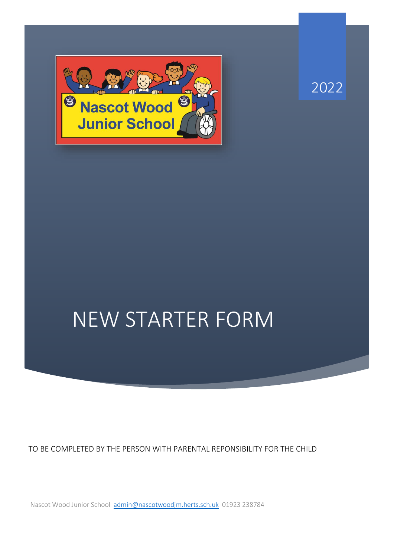



## NEW STARTER FORM

TO BE COMPLETED BY THE PERSON WITH PARENTAL REPONSIBILITY FOR THE CHILD

Nascot Wood Junior School [admin@nascotwoodjm.herts.sch.uk](mailto:admin@nascotwoodjm.herts.sch.uk) 01923 238784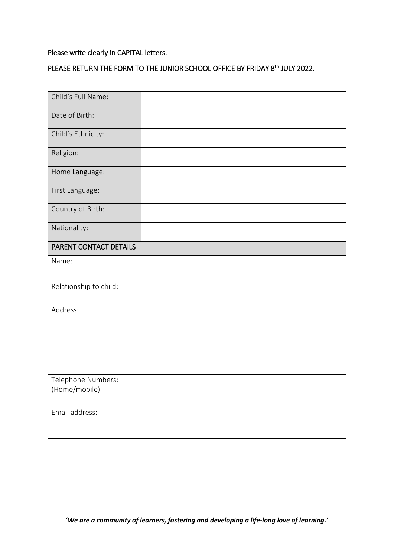## Please write clearly in CAPITAL letters.

## PLEASE RETURN THE FORM TO THE JUNIOR SCHOOL OFFICE BY FRIDAY 8<sup>th</sup> JULY 2022.

| Child's Full Name:                  |  |
|-------------------------------------|--|
| Date of Birth:                      |  |
| Child's Ethnicity:                  |  |
| Religion:                           |  |
| Home Language:                      |  |
| First Language:                     |  |
| Country of Birth:                   |  |
| Nationality:                        |  |
| PARENT CONTACT DETAILS              |  |
| Name:                               |  |
| Relationship to child:              |  |
| Address:                            |  |
| Telephone Numbers:<br>(Home/mobile) |  |
| Email address:                      |  |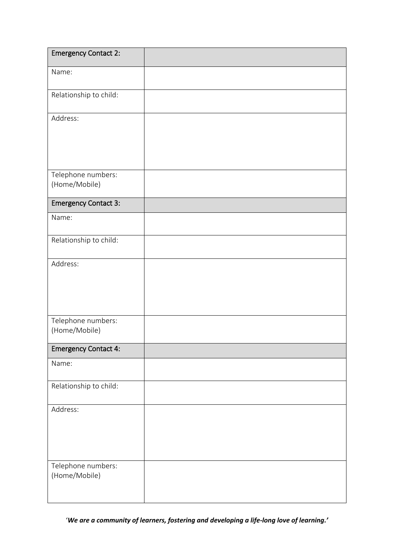| <b>Emergency Contact 2:</b>         |  |
|-------------------------------------|--|
| Name:                               |  |
| Relationship to child:              |  |
| Address:                            |  |
| Telephone numbers:<br>(Home/Mobile) |  |
| <b>Emergency Contact 3:</b>         |  |
| Name:                               |  |
| Relationship to child:              |  |
| Address:                            |  |
| Telephone numbers:<br>(Home/Mobile) |  |
| <b>Emergency Contact 4:</b>         |  |
| Name:                               |  |
| Relationship to child:              |  |
| Address:                            |  |
| Telephone numbers:<br>(Home/Mobile) |  |

'*We are a community of learners, fostering and developing a life-long love of learning.'*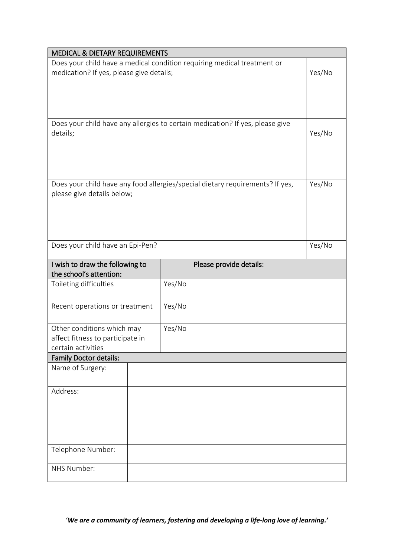| <b>MEDICAL &amp; DIETARY REQUIREMENTS</b> |  |        |                                                                               |        |
|-------------------------------------------|--|--------|-------------------------------------------------------------------------------|--------|
|                                           |  |        | Does your child have a medical condition requiring medical treatment or       |        |
| medication? If yes, please give details;  |  |        |                                                                               |        |
|                                           |  |        |                                                                               |        |
|                                           |  |        |                                                                               |        |
|                                           |  |        |                                                                               |        |
|                                           |  |        |                                                                               |        |
|                                           |  |        | Does your child have any allergies to certain medication? If yes, please give |        |
| details;                                  |  |        |                                                                               |        |
|                                           |  |        |                                                                               |        |
|                                           |  |        |                                                                               |        |
|                                           |  |        |                                                                               |        |
|                                           |  |        |                                                                               |        |
|                                           |  |        | Does your child have any food allergies/special dietary requirements? If yes, | Yes/No |
| please give details below;                |  |        |                                                                               |        |
|                                           |  |        |                                                                               |        |
|                                           |  |        |                                                                               |        |
|                                           |  |        |                                                                               |        |
|                                           |  |        |                                                                               |        |
| Does your child have an Epi-Pen?          |  |        |                                                                               | Yes/No |
|                                           |  |        |                                                                               |        |
| I wish to draw the following to           |  |        | Please provide details:                                                       |        |
| the school's attention:                   |  |        |                                                                               |        |
| Toileting difficulties                    |  | Yes/No |                                                                               |        |
|                                           |  |        |                                                                               |        |
| Recent operations or treatment            |  | Yes/No |                                                                               |        |
|                                           |  |        |                                                                               |        |
| Other conditions which may                |  | Yes/No |                                                                               |        |
| affect fitness to participate in          |  |        |                                                                               |        |
| certain activities                        |  |        |                                                                               |        |
| <b>Family Doctor details:</b>             |  |        |                                                                               |        |
| Name of Surgery:                          |  |        |                                                                               |        |
|                                           |  |        |                                                                               |        |
| Address:                                  |  |        |                                                                               |        |
|                                           |  |        |                                                                               |        |
|                                           |  |        |                                                                               |        |
|                                           |  |        |                                                                               |        |
|                                           |  |        |                                                                               |        |
|                                           |  |        |                                                                               |        |
| Telephone Number:                         |  |        |                                                                               |        |
|                                           |  |        |                                                                               |        |
| NHS Number:                               |  |        |                                                                               |        |
|                                           |  |        |                                                                               |        |

'*We are a community of learners, fostering and developing a life-long love of learning.'*